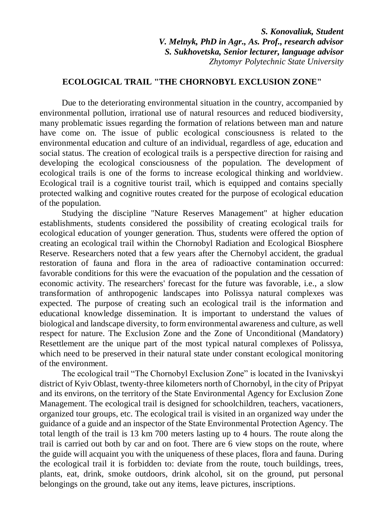*S. Konovaliuk, Student V. Melnyk, PhD in Agr., As. Prof., research advisor S. Sukhovetska, Senior lecturer, language advisor Zhytomyr Polytechnic State University*

## **ECOLOGICAL TRAIL "THE CHORNOBYL EXCLUSION ZONE"**

Due to the deteriorating environmental situation in the country, accompanied by environmental pollution, irrational use of natural resources and reduced biodiversity, many problematic issues regarding the formation of relations between man and nature have come on. The issue of public ecological consciousness is related to the environmental education and culture of an individual, regardless of age, education and social status. The creation of ecological trails is a perspective direction for raising and developing the ecological consciousness of the population. The development of ecological trails is one of the forms to increase ecological thinking and worldview. Ecological trail is a cognitive tourist trail, which is equipped and contains specially protected walking and cognitive routes created for the purpose of ecological education of the population.

Studying the discipline "Nature Reserves Management" at higher education establishments, students considered the possibility of creating ecological trails for ecological education of younger generation. Thus, students were offered the option of creating an ecological trail within the Chornobyl Radiation and Ecological Biosphere Reserve. Researchers noted that a few years after the Chernobyl accident, the gradual restoration of fauna and flora in the area of radioactive contamination occurred: favorable conditions for this were the evacuation of the population and the cessation of economic activity. The researchers' forecast for the future was favorable, i.e., a slow transformation of anthropogenic landscapes into Polissya natural complexes was expected. The purpose of creating such an ecological trail is the information and educational knowledge dissemination. It is important to understand the values of biological and landscape diversity, to form environmental awareness and culture, as well respect for nature. The Exclusion Zone and the Zone of Unconditional (Mandatory) Resettlement are the unique part of the most typical natural complexes of Polissya, which need to be preserved in their natural state under constant ecological monitoring of the environment.

The ecological trail "The Chornobyl Exclusion Zone" is located in the Ivanivskyi district of Kyiv Oblast, twenty-three kilometers north of Chornobyl, in the city of Pripyat and its environs, on the territory of the State Environmental Agency for Exclusion Zone Management. The ecological trail is designed for schoolchildren, teachers, vacationers, organized tour groups, etc. The ecological trail is visited in an organized way under the guidance of a guide and an inspector of the State Environmental Protection Agency. The total length of the trail is 13 km 700 meters lasting up to 4 hours. The route along the trail is carried out both by car and on foot. There are 6 view stops on the route, where the guide will acquaint you with the uniqueness of these places, flora and fauna. During the ecological trail it is forbidden to: deviate from the route, touch buildings, trees, plants, eat, drink, smoke outdoors, drink alcohol, sit on the ground, put personal belongings on the ground, take out any items, leave pictures, inscriptions.